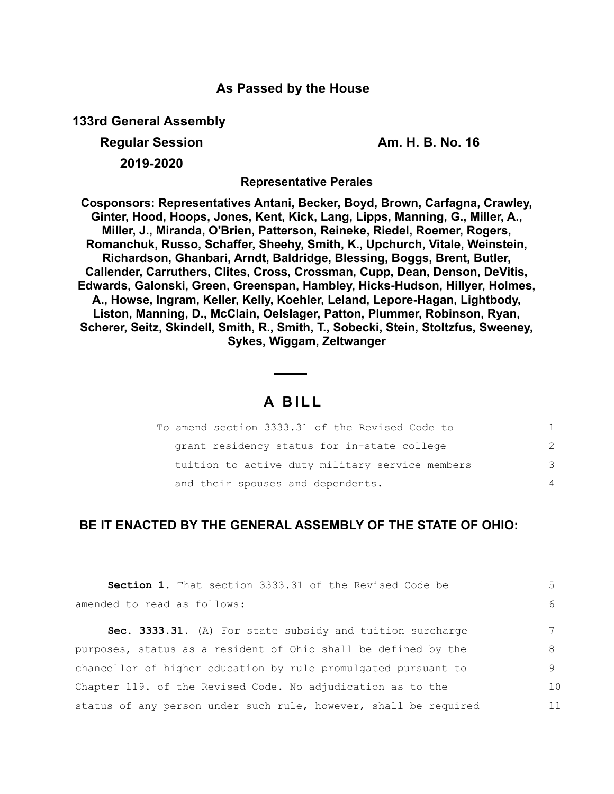### **As Passed by the House**

**133rd General Assembly**

**Regular Session Am. H. B. No. 16** 

**2019-2020**

**Representative Perales**

**Cosponsors: Representatives Antani, Becker, Boyd, Brown, Carfagna, Crawley, Ginter, Hood, Hoops, Jones, Kent, Kick, Lang, Lipps, Manning, G., Miller, A., Miller, J., Miranda, O'Brien, Patterson, Reineke, Riedel, Roemer, Rogers, Romanchuk, Russo, Schaffer, Sheehy, Smith, K., Upchurch, Vitale, Weinstein, Richardson, Ghanbari, Arndt, Baldridge, Blessing, Boggs, Brent, Butler, Callender, Carruthers, Clites, Cross, Crossman, Cupp, Dean, Denson, DeVitis, Edwards, Galonski, Green, Greenspan, Hambley, Hicks-Hudson, Hillyer, Holmes, A., Howse, Ingram, Keller, Kelly, Koehler, Leland, Lepore-Hagan, Lightbody, Liston, Manning, D., McClain, Oelslager, Patton, Plummer, Robinson, Ryan, Scherer, Seitz, Skindell, Smith, R., Smith, T., Sobecki, Stein, Stoltzfus, Sweeney, Sykes, Wiggam, Zeltwanger**

# **A B I L L**

| To amend section 3333.31 of the Revised Code to |               |
|-------------------------------------------------|---------------|
| grant residency status for in-state college     | $\mathcal{P}$ |
| tuition to active duty military service members | 3             |
| and their spouses and dependents.               | 4             |

## **BE IT ENACTED BY THE GENERAL ASSEMBLY OF THE STATE OF OHIO:**

| Section 1. That section 3333.31 of the Revised Code be           | 5.             |
|------------------------------------------------------------------|----------------|
| amended to read as follows:                                      | 6              |
| Sec. 3333.31. (A) For state subsidy and tuition surcharge        |                |
| purposes, status as a resident of Ohio shall be defined by the   | 8              |
| chancellor of higher education by rule promulgated pursuant to   | 9              |
| Chapter 119. of the Revised Code. No adjudication as to the      | 1 <sub>0</sub> |
| status of any person under such rule, however, shall be required | 11             |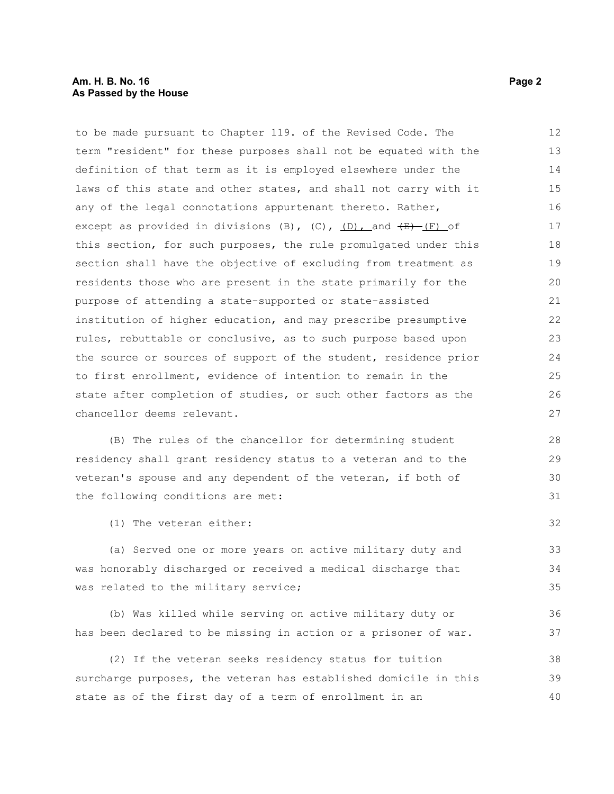### **Am. H. B. No. 16 Page 2 As Passed by the House**

to be made pursuant to Chapter 119. of the Revised Code. The term "resident" for these purposes shall not be equated with the definition of that term as it is employed elsewhere under the laws of this state and other states, and shall not carry with it any of the legal connotations appurtenant thereto. Rather, except as provided in divisions (B),  $(C)$ ,  $(D)$ , and  $(E)$  (F) of this section, for such purposes, the rule promulgated under this section shall have the objective of excluding from treatment as residents those who are present in the state primarily for the purpose of attending a state-supported or state-assisted institution of higher education, and may prescribe presumptive rules, rebuttable or conclusive, as to such purpose based upon the source or sources of support of the student, residence prior to first enrollment, evidence of intention to remain in the state after completion of studies, or such other factors as the chancellor deems relevant. 12 13 14 15 16 17 18 19 20 21 22 23 24 25 26 27

(B) The rules of the chancellor for determining student residency shall grant residency status to a veteran and to the veteran's spouse and any dependent of the veteran, if both of the following conditions are met:

(1) The veteran either:

(a) Served one or more years on active military duty and was honorably discharged or received a medical discharge that was related to the military service;

(b) Was killed while serving on active military duty or has been declared to be missing in action or a prisoner of war.

(2) If the veteran seeks residency status for tuition surcharge purposes, the veteran has established domicile in this state as of the first day of a term of enrollment in an 38 39 40

32

33 34 35

36 37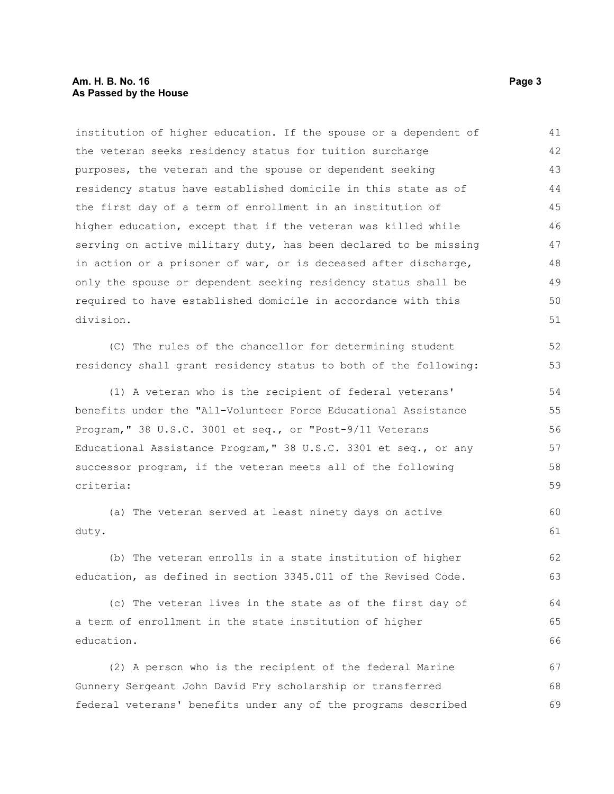### **Am. H. B. No. 16 Page 3 As Passed by the House**

institution of higher education. If the spouse or a dependent of the veteran seeks residency status for tuition surcharge purposes, the veteran and the spouse or dependent seeking residency status have established domicile in this state as of the first day of a term of enrollment in an institution of higher education, except that if the veteran was killed while serving on active military duty, has been declared to be missing in action or a prisoner of war, or is deceased after discharge, only the spouse or dependent seeking residency status shall be required to have established domicile in accordance with this division. 41 42 43 44 45 46 47 48 49 50 51

(C) The rules of the chancellor for determining student residency shall grant residency status to both of the following:

(1) A veteran who is the recipient of federal veterans' benefits under the "All-Volunteer Force Educational Assistance Program," 38 U.S.C. 3001 et seq., or "Post-9/11 Veterans Educational Assistance Program," 38 U.S.C. 3301 et seq., or any successor program, if the veteran meets all of the following criteria:

(a) The veteran served at least ninety days on active duty.

(b) The veteran enrolls in a state institution of higher education, as defined in section 3345.011 of the Revised Code.

(c) The veteran lives in the state as of the first day of a term of enrollment in the state institution of higher education. 64 65 66

(2) A person who is the recipient of the federal Marine Gunnery Sergeant John David Fry scholarship or transferred federal veterans' benefits under any of the programs described 67 68 69

52 53

60 61

62 63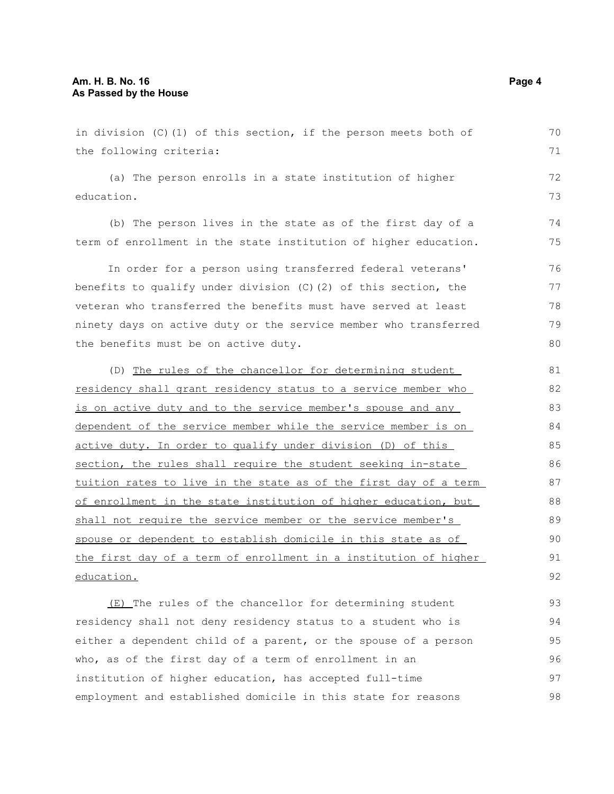in division (C)(1) of this section, if the person meets both of the following criteria: (a) The person enrolls in a state institution of higher education. (b) The person lives in the state as of the first day of a term of enrollment in the state institution of higher education. In order for a person using transferred federal veterans' benefits to qualify under division (C)(2) of this section, the veteran who transferred the benefits must have served at least ninety days on active duty or the service member who transferred the benefits must be on active duty. (D) The rules of the chancellor for determining student residency shall grant residency status to a service member who is on active duty and to the service member's spouse and any dependent of the service member while the service member is on active duty. In order to qualify under division (D) of this section, the rules shall require the student seeking in-state tuition rates to live in the state as of the first day of a term of enrollment in the state institution of higher education, but shall not require the service member or the service member's spouse or dependent to establish domicile in this state as of the first day of a term of enrollment in a institution of higher education. (E) The rules of the chancellor for determining student residency shall not deny residency status to a student who is 70 71 72 73 74 75 76 77 78 79 80 81 82 83 84 85 86 87 88 89 90 91 92 93 94

either a dependent child of a parent, or the spouse of a person who, as of the first day of a term of enrollment in an institution of higher education, has accepted full-time employment and established domicile in this state for reasons 95 96 97 98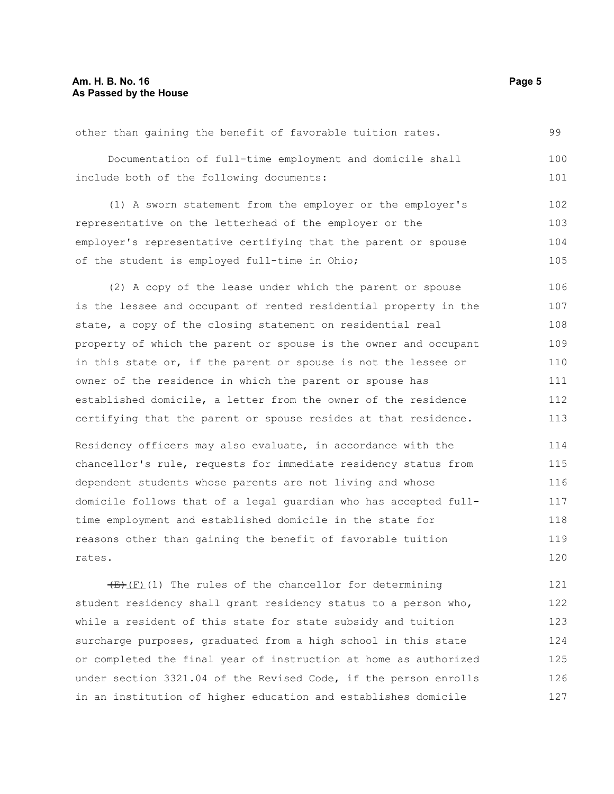other than gaining the benefit of favorable tuition rates. Documentation of full-time employment and domicile shall include both of the following documents: (1) A sworn statement from the employer or the employer's representative on the letterhead of the employer or the employer's representative certifying that the parent or spouse of the student is employed full-time in Ohio; (2) A copy of the lease under which the parent or spouse is the lessee and occupant of rented residential property in the state, a copy of the closing statement on residential real property of which the parent or spouse is the owner and occupant in this state or, if the parent or spouse is not the lessee or owner of the residence in which the parent or spouse has established domicile, a letter from the owner of the residence certifying that the parent or spouse resides at that residence. Residency officers may also evaluate, in accordance with the chancellor's rule, requests for immediate residency status from dependent students whose parents are not living and whose domicile follows that of a legal guardian who has accepted fulltime employment and established domicile in the state for reasons other than gaining the benefit of favorable tuition rates.  $(E)$ (F)(1) The rules of the chancellor for determining student residency shall grant residency status to a person who, 99 100 101 102 103 104 105 106 107 108 109 110 111 112 113 114 115 116 117 118 119 120 121 122

while a resident of this state for state subsidy and tuition surcharge purposes, graduated from a high school in this state or completed the final year of instruction at home as authorized under section 3321.04 of the Revised Code, if the person enrolls in an institution of higher education and establishes domicile 123 124 125 126 127